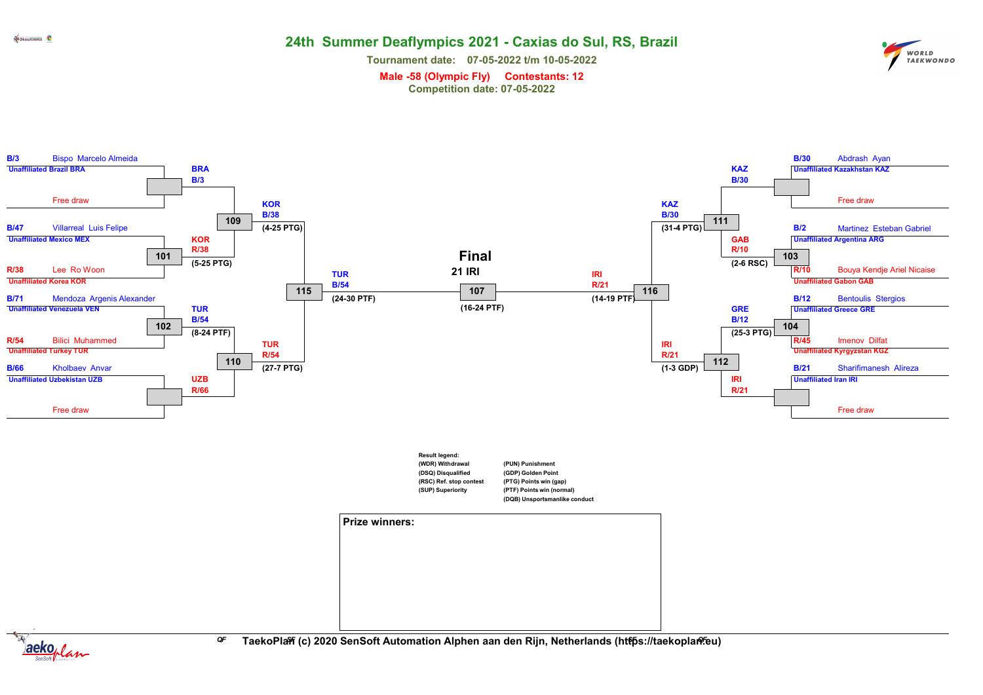WORLD WORLD<br>TAEKWONDO

Tournament date: 07-05-2022 t/m 10-05-2022

Male -58 (Olympic Fly) Contestants: 12 Competition date: 07-05-2022





<sup>GF</sup> TaekoPla衎 (c) 2020 SenSoft Automation Alphen aan den Rijn, Netherlands (http̃s://taekoplanº.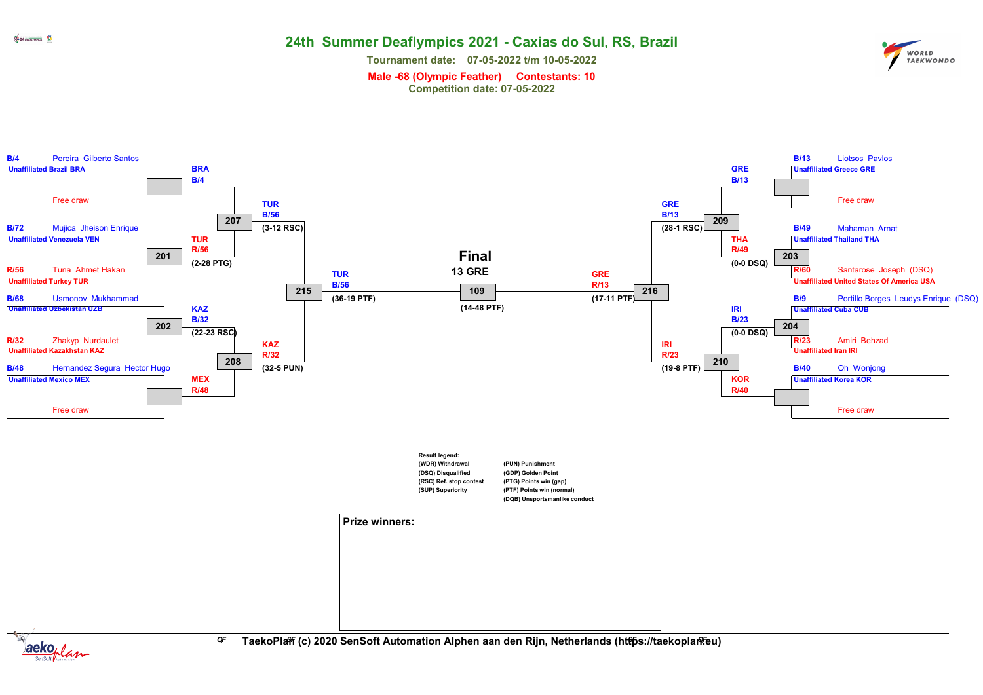Tournament date: 07-05-2022 t/m 10-05-2022

WORLD<br>TAEKWONDO

Male -68 (Olympic Feather) Contestants: 10 Competition date: 07-05-2022





<sup>GF</sup> TaekoPla衎 (c) 2020 SenSoft Automation Alphen aan den Rijn, Netherlands (http̃s://taekoplanº.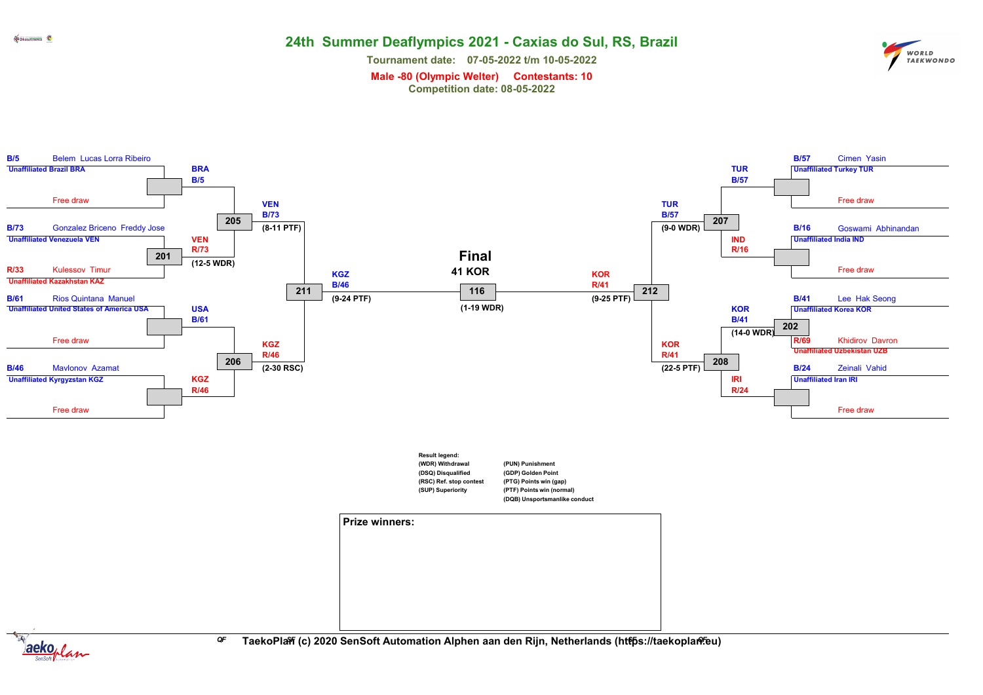Tournament date: 07-05-2022 t/m 10-05-2022



Male -80 (Olympic Welter) Contestants: 10

Competition date: 08-05-2022

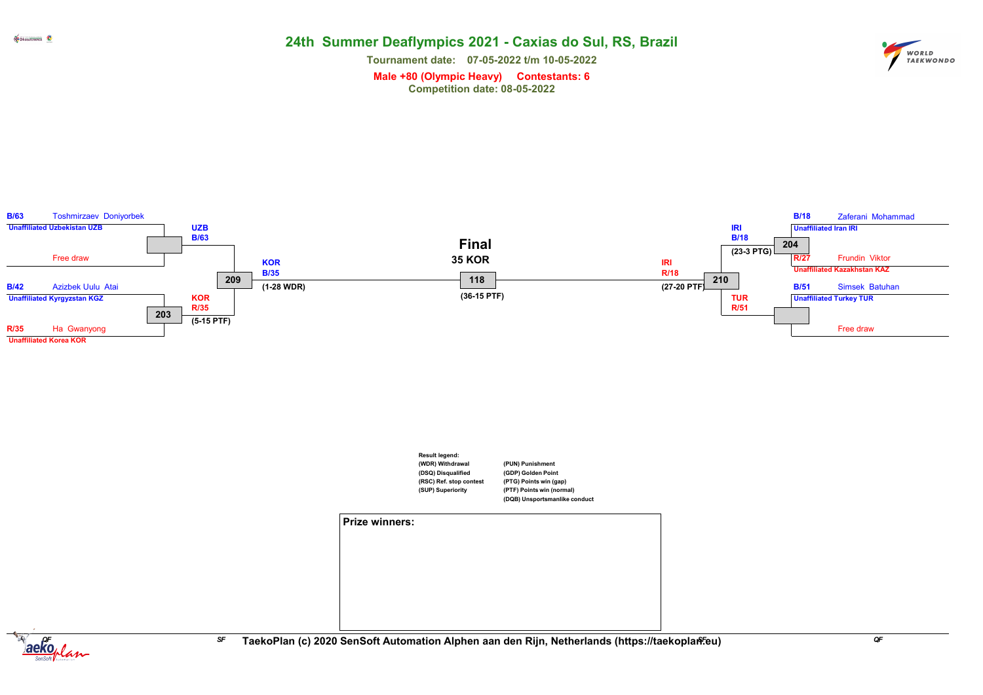Tournament date: 07-05-2022 t/m 10-05-2022



Male +80 (Olympic Heavy) Contestants: 6 Competition date: 08-05-2022

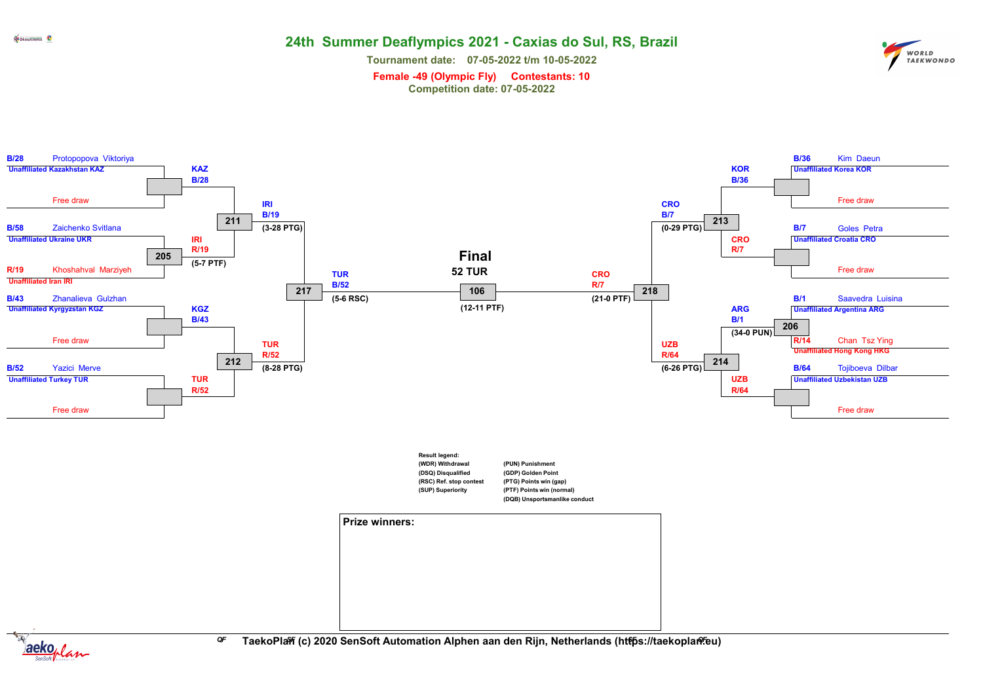WORLD<br>TAEKWONDO

Tournament date: 07-05-2022 t/m 10-05-2022

Female -49 (Olympic Fly) Contestants: 10 Competition date: 07-05-2022

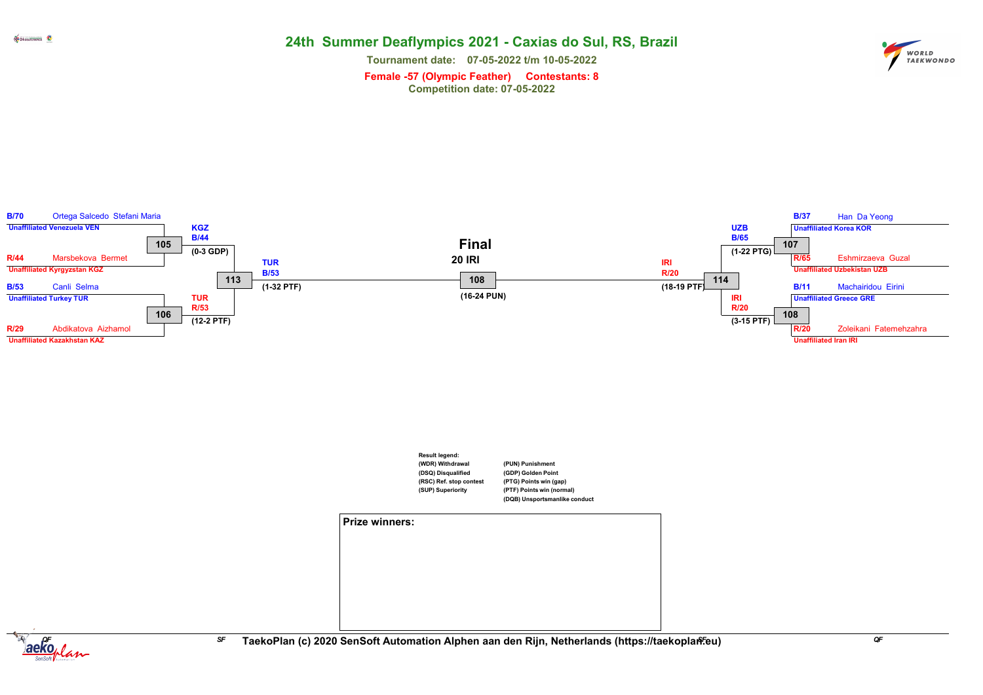Tournament date: 07-05-2022 t/m 10-05-2022



Female -57 (Olympic Feather) Contestants: 8 Competition date: 07-05-2022



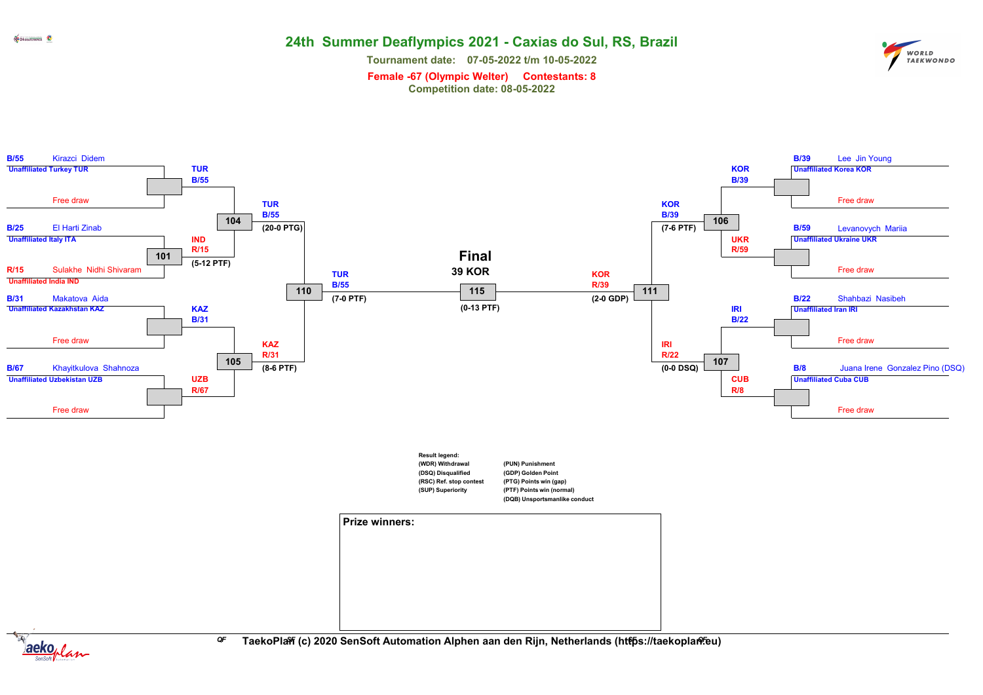Tournament date: 07-05-2022 t/m 10-05-2022



Female -67 (Olympic Welter) Contestants: 8 Competition date: 08-05-2022